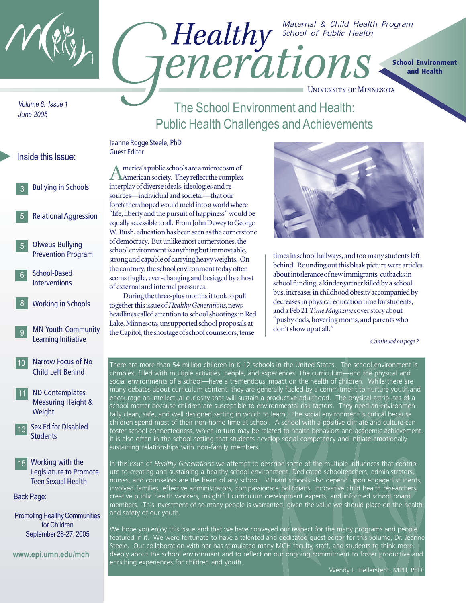

# *Maternal & Child Health Program*  **PEALTAY** School of Public Health **School Environment and Health**

*Volume 6: Issue 1 June 2005*

# The School Environment and Health: Public Health Challenges and Achievements

## Inside this Issue: 3 5 Bullying in Schools Relational Aggression Olweus Bullying Prevention Program School-Based **Interventions** Working in Schools 5 Jeanne Rogge Steele, PhD Guest Editor 6 8

- MN Youth Community Learning Initiative 9
- Narrow Focus of No Child Left Behind 10
- ND Contemplates Measuring Height & **Weight** 11
- 13 Sex Ed for Disabled **Students**
- 15 Working with the Legislature to Promote Teen Sexual Health

Back Page:

Promoting Healthy Communities for Children September 26-27, 2005

**www.epi.umn.edu/mch**

America's public schools are a microcosm of American society. They reflect the complex interplay of diverse ideals, ideologies and resources—individual and societal—that our forefathers hoped would meld into a world where "life, liberty and the pursuit of happiness" would be equally accessible to all. From John Dewey to George W. Bush, education has been seen as the cornerstone of democracy. But unlike most cornerstones, the school environment is anything but immoveable, strong and capable of carrying heavy weights. On the contrary, the school environment today often seems fragile, ever-changing and besieged by a host of external and internal pressures.

During the three-plus months it took to pull together this issue of *Healthy Generations*, news headlines called attention to school shootings in Red Lake, Minnesota, unsupported school proposals at the Capitol, the shortage of school counselors, tense



**UNIVERSITY OF MINNESOTA** 

times in school hallways, and too many students left behind. Rounding out this bleak picture were articles about intolerance of new immigrants, cutbacks in school funding, a kindergartner killed by a school bus, increases in childhood obesity accompanied by decreases in physical education time for students, and a Feb 21 *Time Magazine* cover story about "pushy dads, hovering moms, and parents who don't show up at all."

*Continued on page 2*

There are more than 54 million children in K-12 schools in the United States. The school environment is complex, filled with multiple activities, people, and experiences. The curriculum—and the physical and social environments of a school—have a tremendous impact on the health of children. While there are many debates about curriculum content, they are generally fueled by a commitment to nurture youth and encourage an intellectual curiosity that will sustain a productive adulthood. The physical attributes of a school matter because children are susceptible to environmental risk factors. They need an environmentally clean, safe, and well designed setting in which to learn. The social environment is critical because children spend most of their non-home time at school. A school with a positive climate and culture can foster school connectedness, which in turn may be related to health behaviors and academic achievement. It is also often in the school setting that students develop social competency and initiate emotionally sustaining relationships with non-family members.

In this issue of *Healthy Generations* we attempt to describe some of the multiple influences that contribute to creating and sustaining a healthy school environment. Dedicated schoolteachers, administrators, nurses, and counselors are the heart of any school. Vibrant schools also depend upon engaged students, involved families, effective administrators, compassionate politicians, innovative child health researchers, creative public health workers, insightful curriculum development experts, and informed school board members. This investment of so many people is warranted, given the value we should place on the health and safety of our youth.

We hope you enjoy this issue and that we have conveyed our respect for the many programs and people featured in it. We were fortunate to have a talented and dedicated guest editor for this volume, Dr. Jeanne Steele. Our collaboration with her has stimulated many MCH faculty, staff, and students to think more deeply about the school environment and to reflect on our ongoing commitment to foster productive and enriching experiences for children and youth.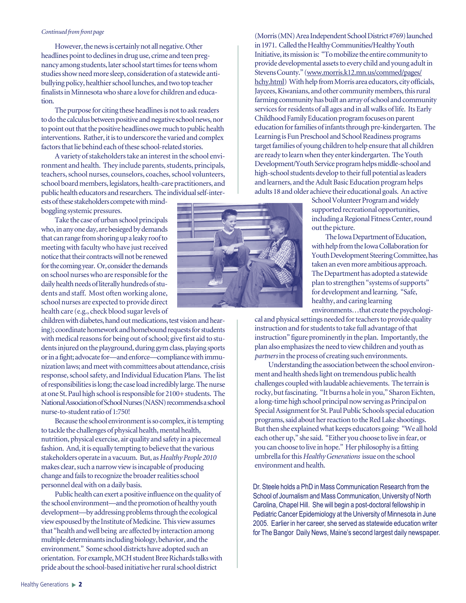#### *Continued from front page*

However, the news is certainly not all negative. Other headlines point to declines in drug use, crime and teen pregnancy among students, later school start times for teens whom studies show need more sleep, consideration of a statewide antibullying policy, healthier school lunches, and two top teacher finalists in Minnesota who share a love for children and education.

The purpose for citing these headlines is not to ask readers to do the calculus between positive and negative school news, nor to point out that the positive headlines owe much to public health interventions. Rather, it is to underscore the varied and complex factors that lie behind each of these school-related stories.

A variety of stakeholders take an interest in the school environment and health. They include parents, students, principals, teachers, school nurses, counselors, coaches, school volunteers, school board members, legislators, health-care practitioners, and public health educators and researchers. The individual self-inter-

ests of these stakeholders compete with mindboggling systemic pressures.

Take the case of urban school principals who, in any one day, are besieged by demands that can range from shoring up a leaky roof to meeting with faculty who have just received notice that their contracts will not be renewed for the coming year. Or, consider the demands on school nurses who are responsible for the daily health needs of literally hundreds of students and staff. Most often working alone, school nurses are expected to provide direct health care (e.g., check blood sugar levels of

children with diabetes, hand out medications, test vision and hearing); coordinate homework and homebound requests for students with medical reasons for being out of school; give first aid to students injured on the playground, during gym class, playing sports or in a fight; advocate for—and enforce—compliance with immunization laws; and meet with committees about attendance, crisis response, school safety, and Individual Education Plans. The list of responsibilities is long; the case load incredibly large. The nurse at one St. Paul high school is responsible for 2100+ students. The National Association of School Nurses (NASN) recommends a school nurse-to-student ratio of 1:750!

Because the school environment is so complex, it is tempting to tackle the challenges of physical health, mental health, nutrition, physical exercise, air quality and safety in a piecemeal fashion. And, it is equally tempting to believe that the various stakeholders operate in a vacuum. But, as *Healthy People 2010* makes clear, such a narrow view is incapable of producing change and fails to recognize the broader realities school personnel deal with on a daily basis.

Public health can exert a positive influence on the quality of the school environment—and the promotion of healthy youth development—by addressing problems through the ecological view espoused by the Institute of Medicine. This view assumes that "health and well being are affected by interaction among multiple determinants including biology, behavior, and the environment." Some school districts have adopted such an orientation. For example, MCH student Bree Richards talks with pride about the school-based initiative her rural school district



(Morris (MN) Area Independent School District #769) launched in 1971. Called the Healthy Communities/Healthy Youth Initiative, its mission is: "To mobilize the entire community to provide developmental assets to every child and young adult in Stevens County." (www.morris.k12.mn.us/commed/pages/ hchy.html) With help from Morris area educators, city officials, Jaycees, Kiwanians, and other community members, this rural farming community has built an array of school and community services for residents of all ages and in all walks of life. Its Early Childhood Family Education program focuses on parent education for families of infants through pre-kindergarten. The Learning is Fun Preschool and School Readiness programs target families of young children to help ensure that all children are ready to learn when they enter kindergarten. The Youth Development/Youth Service program helps middle-school and high-school students develop to their full potential as leaders and learners, and the Adult Basic Education program helps adults 18 and older achieve their educational goals. An active

> School Volunteer Program and widely supported recreational opportunities, including a Regional Fitness Center, round out the picture.

The Iowa Department of Education, with help from the Iowa Collaboration for Youth Development Steering Committee, has taken an even more ambitious approach. The Department has adopted a statewide plan to strengthen "systems of supports" for development and learning. "Safe, healthy, and caring learning environments…that create the psychologi-

cal and physical settings needed for teachers to provide quality instruction and for students to take full advantage of that instruction" figure prominently in the plan. Importantly, the plan also emphasizes the need to view children and youth as *partners* in the process of creating such environments.

Understanding the association between the school environment and health sheds light on tremendous public health challenges coupled with laudable achievements. The terrain is rocky, but fascinating. "It burns a hole in you," Sharon Eichten, a long-time high school principal now serving as Principal on Special Assignment for St. Paul Public Schools special education programs, said about her reaction to the Red Lake shootings. But then she explained what keeps educators going: "We all hold each other up," she said. "Either you choose to live in fear, or you can choose to live in hope." Her philosophy is a fitting umbrella for this *Healthy Generations* issue on the school environment and health.

Dr. Steele holds a PhD in Mass Communication Research from the School of Journalism and Mass Communication, University of North Carolina, Chapel Hill. She will begin a post-doctoral fellowship in Pediatric Cancer Epidemiology at the University of Minnesota in June 2005. Earlier in her career, she served as statewide education writer for The Bangor Daily News, Maine's second largest daily newspaper.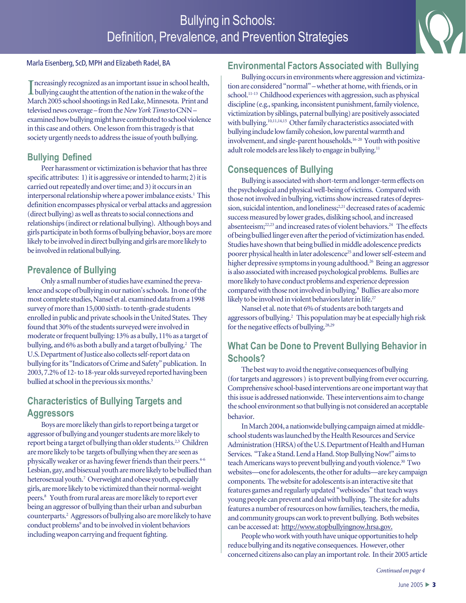## Bullying in Schools: Definition, Prevalence, and Prevention Strategies



#### Marla Eisenberg, ScD, MPH and Elizabeth Radel, BA

Increasingly recognized as an important issue in school healt<br>bullying caught the attention of the nation in the wake of the  $\blacksquare$  ncreasingly recognized as an important issue in school health, March 2005 school shootings in Red Lake, Minnesota. Print and televised news coverage – from the *New York Times* to CNN – examined how bullying might have contributed to school violence in this case and others. One lesson from this tragedy is that society urgently needs to address the issue of youth bullying.

### **Bullying Defined**

interpersonal relationship where a power imbalance exists.<sup>1</sup> This Peer harassment or victimization is behavior that has three specific attributes: 1) it is aggressive or intended to harm; 2) it is carried out repeatedly and over time; and 3) it occurs in an definition encompasses physical or verbal attacks and aggression (direct bullying) as well as threats to social connections and relationships (indirect or relational bullying). Although boys and girls participate in both forms of bullying behavior, boys are more likely to be involved in direct bullying and girls are more likely to be involved in relational bullying.

## **Prevalence of Bullying**

Only a small number of studies have examined the prevalence and scope of bullying in our nation's schools. In one of the most complete studies, Nansel et al. examined data from a 1998 survey of more than 15,000 sixth- to tenth-grade students enrolled in public and private schools in the United States. They found that 30% of the students surveyed were involved in moderate or frequent bullying: 13% as a bully, 11% as a target of bullying, and 6% as both a bully and a target of bullying.<sup>2</sup> The U.S. Department of Justice also collects self-report data on bullying for its "Indicators of Crime and Safety" publication. In 2003, 7.2% of 12- to 18-year olds surveyed reported having been bullied at school in the previous six months.<sup>3</sup>

## **Characteristics of Bullying Targets and Aggressors**

Boys are more likely than girls to report being a target or aggressor of bullying and younger students are more likely to report being a target of bullying than older students.<sup>2,3</sup> Children are more likely to be targets of bullying when they are seen as physically weaker or as having fewer friends than their peers.<sup>4-6</sup> Lesbian, gay, and bisexual youth are more likely to be bullied than heterosexual youth.<sup>7</sup> Overweight and obese youth, especially girls, are more likely to be victimized than their normal-weight peers.8 Youth from rural areas are more likely to report ever being an aggressor of bullying than their urban and suburban counterparts.2 Aggressors of bullying also are more likely to have conduct problems<sup>9</sup> and to be involved in violent behaviors including weapon carrying and frequent fighting.

## **Environmental Factors Associated with Bullying**

Bullying occurs in environments where aggression and victimization are considered "normal" – whether at home, with friends, or in school.<sup>11-13</sup> Childhood experiences with aggression, such as physical discipline (e.g., spanking, inconsistent punishment, family violence, victimization by siblings, paternal bullying) are positively associated with bullying.<sup>10,11,14,15</sup> Other family characteristics associated with bullying include low family cohesion, low parental warmth and involvement, and single-parent households.16-20 Youth with positive adult role models are less likely to engage in bullying.<sup>11</sup>

## **Consequences of Bullying**

Bullying is associated with short-term and longer-term effects on the psychological and physical well-being of victims. Compared with those not involved in bullying, victims show increased rates of depression, suicidal intention, and loneliness;<sup>2,21</sup> decreased rates of academic success measured by lower grades, disliking school, and increased absenteeism;<sup>22,23</sup> and increased rates of violent behaviors.<sup>24</sup> The effects of being bullied linger even after the period of victimization has ended. Studies have shown that being bullied in middle adolescence predicts poorer physical health in later adolescence<sup>25</sup> and lower self-esteem and higher depressive symptoms in young adulthood.<sup>26</sup> Being an aggressor is also associated with increased psychological problems. Bullies are more likely to have conduct problems and experience depression compared with those not involved in bullying.<sup>9</sup> Bullies are also more likely to be involved in violent behaviors later in life.<sup>27</sup>

Nansel et al. note that 6% of students are both targets and aggressors of bullying.2 This population may be at especially high risk for the negative effects of bullying.<sup>28,29</sup>

## **What Can be Done to Prevent Bullying Behavior in Schools?**

The best way to avoid the negative consequences of bullying (for targets and aggressors ) is to prevent bullying from ever occurring. Comprehensive school-based interventions are one important way that this issue is addressed nationwide. These interventions aim to change the school environment so that bullying is not considered an acceptable behavior.

In March 2004, a nationwide bullying campaign aimed at middleschool students was launched by the Health Resources and Service Administration (HRSA) of the U.S. Department of Health and Human Services. "Take a Stand. Lend a Hand. Stop Bullying Now!" aims to teach Americans ways to prevent bullying and youth violence.<sup>30</sup> Two websites—one for adolescents, the other for adults—are key campaign components. The website for adolescents is an interactive site that features games and regularly updated "webisodes" that teach ways young people can prevent and deal with bullying. The site for adults features a number of resources on how families, teachers, the media, and community groups can work to prevent bullying. Both websites can be accessed at: http://www.stopbullyingnow.hrsa.gov.

People who work with youth have unique opportunities to help reduce bullying and its negative consequences. However, other concerned citizens also can play an important role. In their 2005 article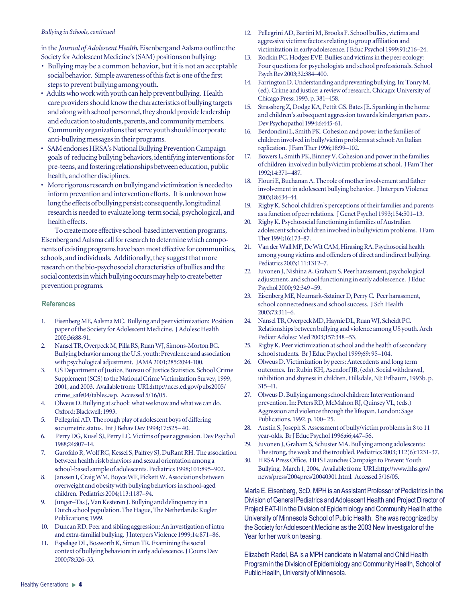#### **Bullying in Schools, continued**

in the *Journal of Adolescent Health*, Eisenberg and Aalsma outline the Society for Adolescent Medicine's (SAM) positions on bullying:

- Bullying may be a common behavior, but it is not an acceptable social behavior. Simple awareness of this fact is one of the first steps to prevent bullying among youth.
- Adults who work with youth can help prevent bullying. Health care providers should know the characteristics of bullying targets and along with school personnel, they should provide leadership and education to students, parents, and community members. Community organizations that serve youth should incorporate anti-bullying messages in their programs.
- SAM endorses HRSA's National Bullying Prevention Campaign goals of reducing bullying behaviors, identifying interventions for pre-teens, and fostering relationships between education, public health, and other disciplines.
- More rigorous research on bullying and victimization is needed to inform prevention and intervention efforts. It is unknown how long the effects of bullying persist; consequently, longitudinal research is needed to evaluate long-term social, psychological, and health effects.

To create more effective school-based intervention programs, Eisenberg and Aalsma call for research to determine which components of existing programs have been most effective for communities, schools, and individuals. Additionally, they suggest that more research on the bio-psychosocial characteristics of bullies and the social contexts in which bullying occurs may help to create better prevention programs.

#### **References**

- 1. Eisenberg ME, Aalsma MC. Bullying and peer victimization: Position paper of the Society for Adolescent Medicine. J Adolesc Health 2005;36:88-91.
- 2. Nansel TR, Overpeck M, Pilla RS, Ruan WJ, Simons-Morton BG. Bullying behavior among the U.S. youth: Prevalence and association with psychological adjustment. JAMA 2001;285:2094-100.
- 3. US Department of Justice, Bureau of Justice Statistics, School Crime Supplement (SCS) to the National Crime Victimization Survey, 1999, 2001, and 2003. Available from: URL:http://nces.ed.gov/pubs2005/ crime\_safe04/tables.asp. Accessed 5/16/05.
- 4. Olweus D. Bullying at school: what we know and what we can do. Oxford: Blackwell; 1993.
- 5. Pellegrini AD. The rough play of adolescent boys of differing sociometric status. Int J Behav Dev 1994;17:525– 40.
- 6. Perry DG, Kusel SJ, Perry LC. Victims of peer aggression. Dev Psychol 1988;24:807–14.
- 7. Garofalo R, Wolf RC, Kessel S, Palfrey SJ, DuRant RH. The association between health risk behaviors and sexual orientation among a school-based sample of adolescents. Pediatrics 1998;101:895–902.
- 8. Janssen I, Craig WM, Boyce WF, Pickett W. Associations between overweight and obesity with bullying behaviors in school-aged children. Pediatrics 2004;113:1187–94.
- 9. Junger–Tas J, Van Kesteren J. Bullying and delinquency in a Dutch school population. The Hague, The Netherlands: Kugler Publications; 1999.
- 10. Duncan RD. Peer and sibling aggression: An investigation of intra and extra-familial bullying. J Interpers Violence 1999;14:871–86.
- 11. Espelage DL, Bosworth K, Simon TR. Examining the social context of bullying behaviors in early adolescence. J Couns Dev 2000;78:326–33.
- 12. Pellegrini AD, Bartini M, Brooks F. School bullies, victims and aggressive victims: factors relating to group affiliation and victimization in early adolescence. J Educ Psychol 1999;91:216–24.
- 13. Rodkin PC, Hodges EVE. Bullies and victims in the peer ecology: Four questions for psychologists and school professionals. School Psych Rev 2003;32:384–400.
- 14. Farrington D. Understanding and preventing bullying. In: Tonry M. (ed). Crime and justice: a review of research. Chicago: University of Chicago Press; 1993. p. 381–458.
- 15. Strassberg Z, Dodge KA, Pettit GS. Bates JE. Spanking in the home and children's subsequent aggression towards kindergarten peers. Dev Psychopathol 1994;6:445-61.
- 16. Berdondini L, Smith PK. Cohesion and power in the families of children involved in bully/victim problems at school: An Italian replication. J Fam Ther 1996;18:99–102.
- 17. Bowers L, Smith PK, Binney V. Cohesion and power in the families of children involved in bully/victim problems at school. J Fam Ther 1992;14:371– 487.
- 18. Flouri E, Buchanan A. The role of mother involvement and father involvement in adolescent bullying behavior. J Interpers Violence 2003;18:634–44.
- 19. Rigby K. School children's perceptions of their families and parents as a function of peer relations. J Genet Psychol 1993;154:501–13.
- 20. Rigby K. Psychosocial functioning in families of Australian adolescent schoolchildren involved in bully/victim problems. J Fam Ther 1994;16:173–87.
- 21. Van der Wall MF, De Wit CAM, Hirasing RA. Psychosocial health among young victims and offenders of direct and indirect bullying. Pediatrics 2003;111:1312–7.
- 22. Juvonen J, Nishina A, Graham S. Peer harassment, psychological adjustment, and school functioning in early adolescence. J Educ Psychol 2000; 92:349 –59.
- 23. Eisenberg ME, Neumark-Sztainer D, Perry C. Peer harassment, school connectedness and school success. J Sch Health 2003;73:311–6.
- 24. Nansel TR, Overpeck MD, Haynie DL, Ruan WJ, Scheidt PC. Relationships between bullying and violence among US youth. Arch Pediatr Adolesc Med 2003;157:348 –53.
- 25. Rigby K. Peer victimization at school and the health of secondary school students. Br J Educ Psychol 1999;69: 95–104.
- 26. Olweus D. Victimization by peers: Antecedents and long term outcomes. In: Rubin KH, Asendorf JB, (eds). Social withdrawal, inhibition and shyness in children. Hillsdale, NJ: Erlbaum, 1993b. p. 315–41.
- 27. Olweus D. Bullying among school children: Intervention and prevention. In: Peters RD, McMahon RJ, Quinsey VL, (eds.) Aggression and violence through the lifespan. London: Sage Publications, 1992. p. 100– 25.
- 28. Austin S, Joseph S. Assessment of bully/victim problems in 8 to 11 year-olds. Br J Educ Psychol 1996;66;447–56.
- 29. Juvonen J, Graham S, Schuster MA. Bullying among adolescents: The strong, the weak and the troubled. Pediatrics 2003; 112(6):1231-37.
- 30. HRSA Press Office. HHS Launches Campaign to Prevent Youth Bullying. March 1, 2004. Available from: URL:http://www.hhs.gov/ news/press/2004pres/20040301.html. Accessed 5/16/05.

Marla E. Eisenberg, ScD, MPH is an Assistant Professor of Pediatrics in the Division of General Pediatrics and Adolescent Health and Project Director of Project EAT-II in the Division of Epidemiology and Community Health at the University of Minnesota School of Public Health. She was recognized by the Society for Adolescent Medicine as the 2003 New Investigator of the Year for her work on teasing.

Elizabeth Radel, BA is a MPH candidate in Maternal and Child Health Program in the Division of Epidemiology and Community Health, School of Public Health, University of Minnesota.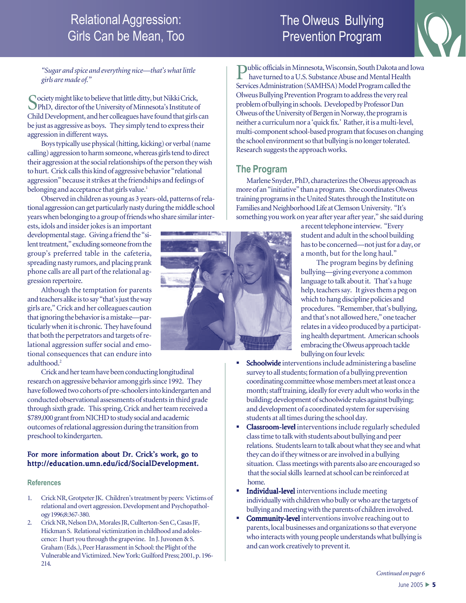## Relational Aggression: Girls Can be Mean, Too

## The Olweus Bullying Prevention Program



*"Sugar and spice and everything nice—that's what little girls are made of."*

Society might like to believe that little ditty, but Nikki Crick,<br>PhD, director of the University of Minnesota's Institute of Child Development, and her colleagues have found that girls can be just as aggressive as boys. They simply tend to express their aggression in different ways.

Boys typically use physical (hitting, kicking) or verbal (name calling) aggression to harm someone, whereas girls tend to direct their aggression at the social relationships of the person they wish to hurt. Crick calls this kind of aggressive behavior "relational aggression" because it strikes at the friendships and feelings of belonging and acceptance that girls value.<sup>1</sup>

Observed in children as young as 3 years-old, patterns of relational aggression can get particularly nasty during the middle school years when belonging to a group of friends who share similar inter-

ests, idols and insider jokes is an important developmental stage. Giving a friend the "silent treatment," excluding someone from the group's preferred table in the cafeteria, spreading nasty rumors, and placing prank phone calls are all part of the relational aggression repertoire.

Although the temptation for parents and teachers alike is to say "that's just the way girls are," Crick and her colleagues caution that ignoring the behavior is a mistake—particularly when it is chronic. They have found that both the perpetrators and targets of relational aggression suffer social and emotional consequences that can endure into adulthood.2

Crick and her team have been conducting longitudinal research on aggressive behavior among girls since 1992. They have followed two cohorts of pre-schoolers into kindergarten and conducted observational assessments of students in third grade through sixth grade. This spring, Crick and her team received a \$789,000 grant from NICHD to study social and academic outcomes of relational aggression during the transition from preschool to kindergarten.

#### For more information about Dr. Crick's work, go to http://education.umn.edu/icd/SocialDevelopment.

#### **References**

- 1. Crick NR, Grotpeter JK. Children's treatment by peers: Victims of relational and overt aggression. Development and Psychopathology 1996;8:367-380.
- 2. Crick NR, Nelson DA, Morales JR, Cullterton-Sen C, Casas JF, Hickman S. Relational victimization in childhood and adolescence: I hurt you through the grapevine. In J. Juvonen & S. Graham (Eds.), Peer Harassment in School: the Plight of the Vulnerable and Victimized. New York: Guilford Press; 2001, p. 196- 214.

Public officials in Minnesota, Wisconsin, South Dakota and Iowa<br>have turned to a LLS Subset have turned to a U.S. Substance Abuse and Mental Health Services Administration (SAMHSA) Model Program called the Olweus Bullying Prevention Program to address the very real problem of bullying in schools. Developed by Professor Dan Olweus of the University of Bergen in Norway, the program is neither a curriculum nor a 'quick fix.' Rather, it is a multi-level, multi-component school-based program that focuses on changing the school environment so that bullying is no longer tolerated. Research suggests the approach works.

## **The Program**

Marlene Snyder, PhD, characterizes the Olweus approach as more of an "initiative" than a program. She coordinates Olweus training programs in the United States through the Institute on Families and Neighborhood Life at Clemson University. "It's something you work on year after year after year," she said during

> a recent telephone interview. "Every student and adult in the school building has to be concerned—not just for a day, or a month, but for the long haul."

 The program begins by defining bullying—giving everyone a common language to talk about it. That's a huge help, teachers say. It gives them a peg on which to hang discipline policies and procedures. "Remember, that's bullying, and that's not allowed here," one teacher relates in a video produced by a participating health department. American schools embracing the Olweus approach tackle bullying on four levels:

- Schoolwide interventions include administering a baseline survey to all students; formation of a bullying prevention coordinating committee whose members meet at least once a month; staff training, ideally for every adult who works in the building; development of schoolwide rules against bullying; and development of a coordinated system for supervising students at all times during the school day.
- Classroom-level in terventions include regularly scheduled class time to talk with students about bullying and peer relations. Students learn to talk about what they see and what they can do if they witness or are involved in a bullying situation. Class meetings with parents also are encouraged so that the social skills learned at school can be reinforced at home.
- Individual-level interventions include meeting individually with children who bully or who are the targets of bullying and meeting with the parents of children involved.
- **Community-level** interventions involve reaching out to parents, local businesses and organizations so that everyone who interacts with young people understands what bullying is and can work creatively to prevent it.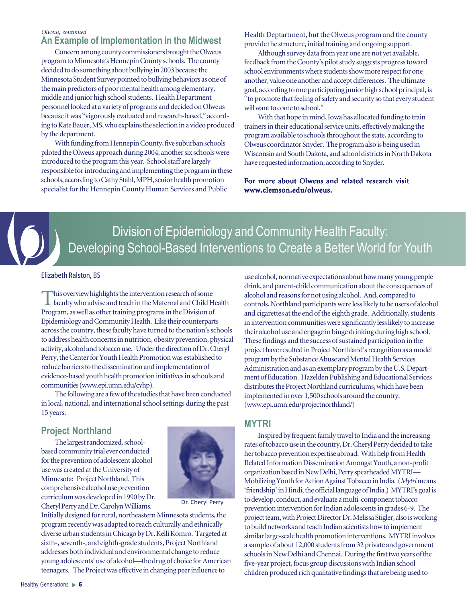#### **An Example of Implementation in the Midwest** *Olweus, continued*

Concern among county commissioners brought the Olweus program to Minnesota's Hennepin County schools. The county decided to do something about bullying in 2003 because the Minnesota Student Survey pointed to bullying behaviors as one of the main predictors of poor mental health among elementary, middle and junior high school students. Health Department personnel looked at a variety of programs and decided on Olweus because it was "vigorously evaluated and research-based," according to Kate Bauer, MS, who explains the selection in a video produced by the department.

With funding from Hennepin County, five suburban schools piloted the Olweus approach during 2004; another six schools were introduced to the program this year. School staff are largely responsible for introducing and implementing the program in these schools, according to Cathy Stahl, MPH, senior health promotion specialist for the Hennepin County Human Services and Public

Health Deptartment, but the Olweus program and the county provide the structure, initial training and ongoing support.

Although survey data from year one are not yet available, feedback from the County's pilot study suggests progress toward school environments where students show more respect for one another, value one another and accept differences. The ultimate goal, according to one participating junior high school principal, is "to promote that feeling of safety and security so that every student will want to come to school."

With that hope in mind, Iowa has allocated funding to train trainers in their educational service units, effectively making the program available to schools throughout the state, according to Olweus coordinator Snyder. The program also is being used in Wisconsin and South Dakota, and school districts in North Dakota have requested information, according to Snyder.

For more about Olweus and related research visit www.clemson.edu/olweus.



Division of Epidemiology and Community Health Faculty: Developing School-Based Interventions to Create a Better World for Youth

Elizabeth Ralston, BS

This overview highlights the intervention research of some  $\blacksquare$  faculty who advise and teach in the Maternal and Child Health Program, as well as other training programs in the Division of Epidemiology and Community Health. Like their counterparts across the country, these faculty have turned to the nation's schools to address health concerns in nutrition, obesity prevention, physical activity, alcohol and tobacco use. Under the direction of Dr. Cheryl Perry, the Center for Youth Health Promotion was established to reduce barriers to the dissemination and implementation of evidence-based youth health promotion initiatives in schools and communities (www.epi.umn.edu/cyhp).

The following are a few of the studies that have been conducted in local, national, and international school settings during the past 15 years.

## **Project Northland**

The largest randomized, schoolbased community trial ever conducted for the prevention of adolescent alcohol use was created at the University of Minnesota: Project Northland. This comprehensive alcohol use prevention curriculum was developed in 1990 by Dr. Cheryl Perry and Dr. Carolyn Williams.



Dr. Cheryl Perry

Initially designed for rural, northeastern Minnesota students, the program recently was adapted to reach culturally and ethnically diverse urban students in Chicago by Dr. Kelli Komro. Targeted at sixth-, seventh-, and eighth-grade students, Project Northland addresses both individual and environmental change to reduce young adolescents' use of alcohol—the drug of choice for American teenagers. The Project was effective in changing peer influence to

use alcohol, normative expectations about how many young people drink, and parent-child communication about the consequences of alcohol and reasons for not using alcohol. And, compared to controls, Northland participants were less likely to be users of alcohol and cigarettes at the end of the eighth grade. Additionally, students in intervention communities were significantly less likely to increase their alcohol use and engage in binge drinking during high school. These findings and the success of sustained participation in the project have resulted in Project Northland's recognition as a model program by the Substance Abuse and Mental Health Services Administration and as an exemplary program by the U.S. Department of Education. Hazelden Publishing and Educational Services distributes the Project Northland curriculums, which have been implemented in over 1,500 schools around the country. (www.epi.umn.edu/projectnorthland/)

## **MYTRI**

Inspired by frequent family travel to India and the increasing rates of tobacco use in the country, Dr. Cheryl Perry decided to take her tobacco prevention expertise abroad. With help from Health Related Information Dissemination Amongst Youth, a non-profit organization based in New Delhi, Perry spearheaded MYTRI— Mobilizing Youth for Action Against Tobacco in India. (*Mytri* means 'friendship' in Hindi, the official language of India.) MYTRI's goal is to develop, conduct, and evaluate a multi-component tobacco prevention intervention for Indian adolescents in grades 6-9. The project team, with Project Director Dr. Melissa Stigler, also is working to build networks and teach Indian scientists how to implement similar large-scale health promotion interventions. MYTRI involves a sample of about 12,000 students from 32 private and government schools in New Delhi and Chennai. During the first two years of the five-year project, focus group discussions with Indian school children produced rich qualitative findings that are being used to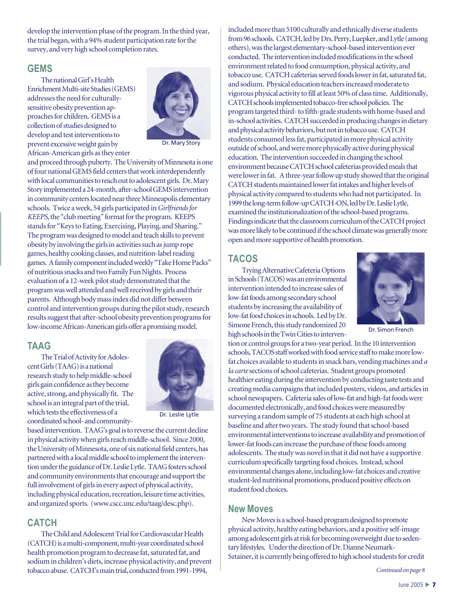develop the intervention phase of the program. In the third year, the trial began, with a 94% student participation rate for the survey, and very high school completion rates.

### **GEMS**

The national Girl's Health Enrichment Multi-site Studies (GEMS) addresses the need for culturallysensitive obesity prevention approaches for children. GEMS is a collection of studies designed to develop and test interventions to prevent excessive weight gain by African-American girls as they enter



Dr. Mary Story

results suggest that after-school obesity prevention programs for low-fat food choices in schools. Led<br>low-income African American girls offer a promising model simone French, this study randomi and proceed through puberty. The University of Minnesota is one of four national GEMS field centers that work interdependently with local communities to reach out to adolescent girls. Dr. Mary Story implemented a 24-month, after-school GEMS intervention in community centers located near three Minneapolis elementary schools. Twice a week, 54 girls participated in *Girlfriends for KEEPS*, the "club meeting" format for the program. KEEPS stands for "Keys to Eating, Exercising, Playing, and Sharing." The program was designed to model and teach skills to prevent obesity by involving the girls in activities such as jump rope games, healthy cooking classes, and nutrition-label reading games. A family component included weekly "Take Home Packs" of nutritious snacks and two Family Fun Nights. Process evaluation of a 12-week pilot study demonstrated that the program was well attended and well received by girls and their parents. Although body mass index did not differ between control and intervention groups during the pilot study, research low-income African-American girls offer a promising model.

### **TAAG**

The Trial of Activity for Adolescent Girls (TAAG) is a national research study to help middle-school girls gain confidence as they become active, strong, and physically fit. The school is an integral part of the trial, which tests the effectiveness of a coordinated school- and community-



Dr. Leslie Lytle

based intervention. TAAG's goal is to reverse the current decline in physical activity when girls reach middle-school. Since 2000, the University of Minnesota, one of six national field centers, has partnered with a local middle school to implement the intervention under the guidance of Dr. Leslie Lytle. TAAG fosters school and community environments that encourage and support the full involvement of girls in every aspect of physical activity, including physical education, recreation, leisure time activities, and organized sports. (www.cscc.unc.edu/taag/desc.php).

### **CATCH**

The Child and Adolescent Trial for Cardiovascular Health (CATCH) is a multi-component, multi-year coordinated school health promotion program to decrease fat, saturated fat, and sodium in children's diets, increase physical activity, and prevent tobacco abuse. CATCH's main trial, conducted from 1991-1994,

included more than 5100 culturally and ethnically diverse students from 96 schools. CATCH, led by Drs. Perry, Luepker, and Lytle (among others), was the largest elementary-school-based intervention ever conducted. The intervention included modifications in the school environment related to food consumption, physical activity, and tobacco use. CATCH cafeterias served foods lower in fat, saturated fat, and sodium. Physical education teachers increased moderate to vigorous physical activity to fill at least 50% of class time. Additionally, CATCH schools implemented tobacco-free school policies. The program targeted third- to fifth-grade students with home-based and in-school activities. CATCH succeeded in producing changes in dietary and physical activity behaviors, but not in tobacco use. CATCH students consumed less fat, participated in more physical activity outside of school, and were more physically active during physical education. The intervention succeeded in changing the school environment because CATCH school cafeterias provided meals that were lower in fat. A three-year follow up study showed that the original CATCH students maintained lower fat intakes and higher levels of physical activity compared to students who had not participated. In 1999 the long-term follow-up CATCH-ON, led by Dr. Leslie Lytle, examined the institutionalization of the school-based programs. Findings indicate that the classroom curriculum of the CATCH project was more likely to be continued if the school climate was generally more open and more supportive of health promotion.

### **TACOS**

Trying Alternative Cafeteria Options in Schools (TACOS) was an environmental intervention intended to increase sales of low-fat foods among secondary school students by increasing the availability of low-fat food choices in schools. Led by Dr. Simone French, this study randomized 20 high schools in the Twin Cities to interven-



Dr. Simon French

tion or control groups for a two-year period. In the 10 intervention schools, TACOS staff worked with food service staff to make more lowfat choices available to students in snack bars, vending machines and *a la carte* sections of school cafeterias. Student groups promoted healthier eating during the intervention by conducting taste tests and creating media campaigns that included posters, videos, and articles in school newspapers. Cafeteria sales of low-fat and high-fat foods were documented electronically, and food choices were measured by surveying a random sample of 75 students at each high school at baseline and after two years. The study found that school-based environmental interventions to increase availability and promotion of lower-fat foods can increase the purchase of these foods among adolescents. The study was novel in that it did not have a supportive curriculum specifically targeting food choices. Instead, school environmental changes alone, including low-fat choices and creative student-led nutritional promotions, produced positive effects on student food choices.

### **New Moves**

New Moves is a school-based program designed to promote physical activity, healthy eating behaviors, and a positive self-image among adolescent girls at risk for becoming overweight due to sedentary lifestyles. Under the direction of Dr. Dianne Neumark-Sztainer, it is currently being offered to high school students for credit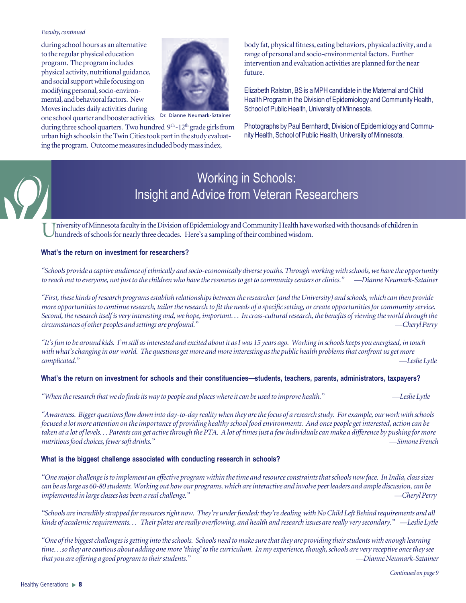#### *Faculty, continued*

during school hours as an alternative to the regular physical education program. The program includes physical activity, nutritional guidance, and social support while focusing on modifying personal, socio-environmental, and behavioral factors. New Moves includes daily activities during one school quarter and booster activities



Dr. Dianne Neumark-Sztainer

during three school quarters. Two hundred 9<sup>th</sup>-12<sup>th</sup> grade girls from urban high schools in the Twin Cities took part in the study evaluating the program. Outcome measures included body mass index,

body fat, physical fitness, eating behaviors, physical activity, and a range of personal and socio-environmental factors. Further intervention and evaluation activities are planned for the near future.

Elizabeth Ralston, BS is a MPH candidate in the Maternal and Child Health Program in the Division of Epidemiology and Community Health, School of Public Health, University of Minnesota.

Photographs by Paul Bernhardt, Division of Epidemiology and Community Health, School of Public Health, University of Minnesota.



## Working in Schools: Insight and Advice from Veteran Researchers

Iniversity of Minnesota faculty in the Division of Epidemiology and Community Health have worked with thousands of children in hundreds of schools for nearly three decades. Here's a sampling of their combined wisdom.

#### **What's the return on investment for researchers?**

*"Schools provide a captive audience of ethnically and socio-economically diverse youths. Through working with schools, we have the opportunity to reach out to everyone, not just to the children who have the resources to get to community centers or clinics." —Dianne Neumark-Sztainer*

*"First, these kinds of research programs establish relationships between the researcher (and the University) and schools, which can then provide more opportunities to continue research, tailor the research to fit the needs of a specific setting, or create opportunities for community service. Second, the research itself is very interesting and, we hope, important. . . In cross-cultural research, the benefits of viewing the world through the circumstances of other peoples and settings are profound." —Cheryl Perry*

*"It's fun to be around kids. I'm still as interested and excited about it as I was 15 years ago. Working in schools keeps you energized, in touch with what's changing in our world. The questions get more and more interesting as the public health problems that confront us get more complicated." —Leslie Lytle*

#### **What's the return on investment for schools and their constituencies—students, teachers, parents, administrators, taxpayers?**

*"When the research that we do finds its way to people and places where it can be used to improve health." —Leslie Lytle*

*"Awareness. Bigger questions flow down into day-to-day reality when they are the focus of a research study. For example, our work with schools focused a lot more attention on the importance of providing healthy school food environments. And once people get interested, action can be taken at a lot of levels. . . Parents can get active through the PTA. A lot of times just a few individuals can make a difference by pushing for more nutritious food choices, fewer soft drinks." —Simone French*

#### **What is the biggest challenge associated with conducting research in schools?**

*"One major challenge is to implement an effective program within the time and resource constraints that schools now face. In India, class sizes can be as large as 60-80 students. Working out how our programs, which are interactive and involve peer leaders and ample discussion, can be implemented in large classes has been a real challenge." —Cheryl Perry*

*"Schools are incredibly strapped for resources right now. They're under funded; they're dealing with No Child Left Behind requirements and all kinds of academic requirements. . . Their plates are really overflowing, and health and research issues are really very secondary." —Leslie Lytle*

*"One of the biggest challenges is getting into the schools. Schools need to make sure that they are providing their students with enough learning time. . .so they are cautious about adding one more 'thing' to the curriculum. In my experience, though, schools are very receptive once they see that you are offering a good program to their students." —Dianne Neumark-Sztainer*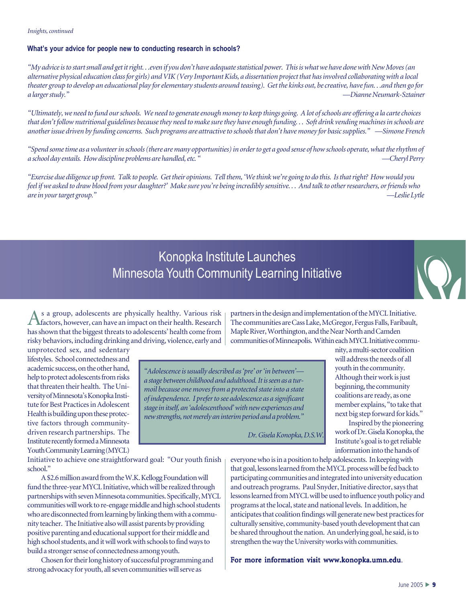*Insights, continued*

#### **What's your advice for people new to conducting research in schools?**

*"My advice is to start small and get it right. . .even if you don't have adequate statistical power. This is what we have done with New Moves (an alternative physical education class for girls) and VIK (Very Important Kids, a dissertation project that has involved collaborating with a local theater group to develop an educational play for elementary students around teasing). Get the kinks out, be creative, have fun. . .and then go for a larger study." —Dianne Neumark-Sztainer*

*"Ultimately, we need to fund our schools. We need to generate enough money to keep things going. A lot of schools are offering a la carte choices that don't follow nutritional guidelines because they need to make sure they have enough funding. . . Soft drink vending machines in schools are another issue driven by funding concerns. Such programs are attractive to schools that don't have money for basic supplies." —Simone French*

*"Spend some time as a volunteer in schools (there are many opportunities) in order to get a good sense of how schools operate, what the rhythm of a school day entails. How discipline problems are handled, etc. " —Cheryl Perry*

*"Exercise due diligence up front. Talk to people. Get their opinions. Tell them, 'We think we're going to do this. Is that right? How would you feel if we asked to draw blood from your daughter?' Make sure you're being incredibly sensitive. . . And talk to other researchers, or friends who are in your target group." —Leslie Lytle*

## Konopka Institute Launches Minnesota Youth Community Learning Initiative

As a group, adolescents are physically healthy. Various risk factors, however, can have an impact on their health. Research has shown that the biggest threats to adolescents' health come from risky behaviors, including drinking and driving, violence, early and

unprotected sex, and sedentary lifestyles. School connectedness and academic success, on the other hand, help to protect adolescents from risks that threaten their health. The University of Minnesota's Konopka Institute for Best Practices in Adolescent Health is building upon these protective factors through communitydriven research partnerships. The Institute recently formed a Minnesota Youth Community Learning (MYCL)

The communities are Cass Lake, McGregor, Fergus Falls, Faribault, Maple River, Worthington, and the Near North and Camden communities of Minneapolis. Within each MYCL Initiative community, a multi-sector coalition

> will address the needs of all youth in the community. Although their work is just beginning, the community coalitions are ready, as one member explains, "to take that next big step forward for kids." Inspired by the pioneering work of Dr. Gisela Konopka, the Institute's goal is to get reliable information into the hands of

*"Adolescence is usually described as 'pre' or 'in between' a stage between childhood and adulthood. It is seen as a turmoil because one moves from a protected state into a state of independence. I prefer to see adolescence as a significant stage in itself, an 'adolescenthood' with new experiences and new strengths, not merely an interim period and a problem."*

*Dr. Gisela Konopka, D.S.W.*

Initiative to achieve one straightforward goal: "Our youth finish school."

A \$2.6 million award from the W.K. Kellogg Foundation will fund the three-year MYCL Initiative, which will be realized through partnerships with seven Minnesota communities. Specifically, MYCL communities will work to re-engage middle and high school students who are disconnected from learning by linking them with a community teacher. The Initiative also will assist parents by providing positive parenting and educational support for their middle and high school students, and it will work with schools to find ways to build a stronger sense of connectedness among youth.

Chosen for their long history of successful programming and strong advocacy for youth, all seven communities will serve as

everyone who is in a position to help adolescents. In keeping with that goal, lessons learned from the MYCL process will be fed back to participating communities and integrated into university education and outreach programs. Paul Snyder, Initiative director, says that lessons learned from MYCL will be used to influence youth policy and programs at the local, state and national levels. In addition, he anticipates that coalition findings will generate new best practices for culturally sensitive, community-based youth development that can be shared throughout the nation. An underlying goal, he said, is to strengthen the way the University works with communities.

For more information visit www.konopka.umn.edu.

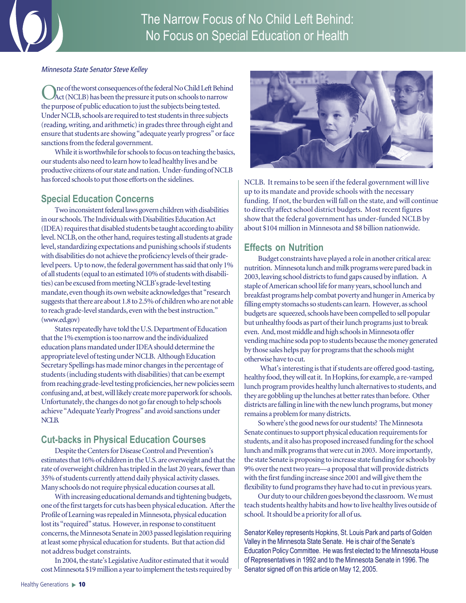

#### Minnesota State Senator Steve Kelley

ne of the worst consequences of the federal No Child Left Behind Act (NCLB) has been the pressure it puts on schools to narrow the purpose of public education to just the subjects being tested. Under NCLB, schools are required to test students in three subjects (reading, writing, and arithmetic) in grades three through eight and ensure that students are showing "adequate yearly progress" or face sanctions from the federal government.

While it is worthwhile for schools to focus on teaching the basics, our students also need to learn how to lead healthy lives and be productive citizens of our state and nation. Under-funding of NCLB has forced schools to put those efforts on the sidelines.

## **Special Education Concerns**

Two inconsistent federal laws govern children with disabilities in our schools. The Individuals with Disabilities Education Act (IDEA) requires that disabled students be taught according to ability level. NCLB, on the other hand, requires testing all students at grade level, standardizing expectations and punishing schools if students with disabilities do not achieve the proficiency levels of their gradelevel peers. Up to now, the federal government has said that only 1% of all students (equal to an estimated 10% of students with disabilities) can be excused from meeting NCLB's grade-level testing mandate, even though its own website acknowledges that "research suggests that there are about 1.8 to 2.5% of children who are not able to reach grade-level standards, even with the best instruction." (www.ed.gov)

States repeatedly have told the U.S. Department of Education that the 1% exemption is too narrow and the individualized education plans mandated under IDEA should determine the appropriate level of testing under NCLB. Although Education Secretary Spellings has made minor changes in the percentage of students (including students with disabilities) that can be exempt from reaching grade-level testing proficiencies, her new policies seem confusing and, at best, will likely create more paperwork for schools. Unfortunately, the changes do not go far enough to help schools achieve "Adequate Yearly Progress" and avoid sanctions under NCLB.

## **Cut-backs in Physical Education Courses**

Despite the Centers for Disease Control and Prevention's estimates that 16% of children in the U.S. are overweight and that the rate of overweight children has tripled in the last 20 years, fewer than 35% of students currently attend daily physical activity classes. Many schools do not require physical education courses at all.

With increasing educational demands and tightening budgets, one of the first targets for cuts has been physical education. After the Profile of Learning was repealed in Minnesota, physical education lost its "required" status. However, in response to constituent concerns, the Minnesota Senate in 2003 passed legislation requiring at least some physical education for students. But that action did not address budget constraints.

In 2004, the state's Legislative Auditor estimated that it would cost Minnesota \$19 million a year to implement the tests required by



NCLB. It remains to be seen if the federal government will live up to its mandate and provide schools with the necessary funding. If not, the burden will fall on the state, and will continue to directly affect school district budgets. Most recent figures show that the federal government has under-funded NCLB by about \$104 million in Minnesota and \$8 billion nationwide.

## **Effects on Nutrition**

Budget constraints have played a role in another critical area: nutrition. Minnesota lunch and milk programs were pared back in 2003, leaving school districts to fund gaps caused by inflation. A staple of American school life for many years, school lunch and breakfast programs help combat poverty and hunger in America by filling empty stomachs so students can learn. However, as school budgets are squeezed, schools have been compelled to sell popular but unhealthy foods as part of their lunch programs just to break even. And, most middle and high schools in Minnesota offer vending machine soda pop to students because the money generated by those sales helps pay for programs that the schools might otherwise have to cut.

 What's interesting is that if students are offered good-tasting, healthy food, they will eat it. In Hopkins, for example, a re-vamped lunch program provides healthy lunch alternatives to students, and they are gobbling up the lunches at better rates than before. Other districts are falling in line with the new lunch programs, but money remains a problem for many districts.

So where's the good news for our students? The Minnesota Senate continues to support physical education requirements for students, and it also has proposed increased funding for the school lunch and milk programs that were cut in 2003. More importantly, the state Senate is proposing to increase state funding for schools by 9% over the next two years—a proposal that will provide districts with the first funding increase since 2001 and will give them the flexibility to fund programs they have had to cut in previous years.

Our duty to our children goes beyond the classroom. We must teach students healthy habits and how to live healthy lives outside of school. It should be a priority for all of us.

Senator Kelley represents Hopkins, St. Louis Park and parts of Golden Valley in the Minnesota State Senate. He is chair of the Senate's Education Policy Committee. He was first elected to the Minnesota House of Representatives in 1992 and to the Minnesota Senate in 1996. The Senator signed off on this article on May 12, 2005.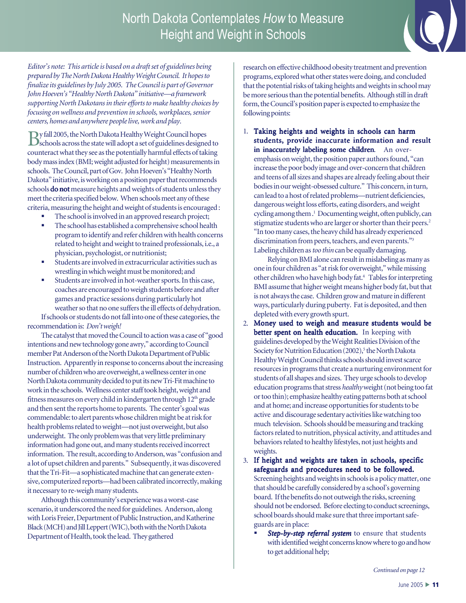

*Editor's note: This article is based on a draft set of guidelines being prepared by The North Dakota Healthy Weight Council. It hopes to finalize its guidelines by July 2005. The Council is part of Governor John Hoeven's "Healthy North Dakota" initiative—a framework supporting North Dakotans in their efforts to make healthy choices by focusing on wellness and prevention in schools, workplaces, senior centers, homes and anywhere people live, work and play.*

By fall 2005, the North Dakota Healthy Weight Council hopes schools across the state will adopt a set of guidelines designed to counteract what they see as the potentially harmful effects of taking body mass index (BMI; weight adjusted for height) measurements in schools. The Council, part of Gov. John Hoeven's "Healthy North Dakota" initiative, is working on a position paper that recommends schools **do not** measure heights and weights of students unless they meet the criteria specified below. When schools meet any of these criteria, measuring the height and weight of students is encouraged :

- The school is involved in an approved research project;
- The school has established a comprehensive school health program to identify and refer children with health concerns related to height and weight to trained professionals, i.e., a physician, psychologist, or nutritionist;
- Students are involved in extracurricular activities such as wrestling in which weight must be monitored; and
- Students are involved in hot-weather sports. In this case, coaches are encouraged to weigh students before and after games and practice sessions during particularly hot weather so that no one suffers the ill effects of dehydration.

If schools or students do not fall into one of these categories, the recommendation is: *Don't weigh!*

The catalyst that moved the Council to action was a case of "good intentions and new technology gone awry," according to Council member Pat Anderson of the North Dakota Department of Public Instruction. Apparently in response to concerns about the increasing number of children who are overweight, a wellness center in one North Dakota community decided to put its new Tri-Fit machine to work in the schools. Wellness center staff took height, weight and fitness measures on every child in kindergarten through  $12<sup>th</sup>$  grade and then sent the reports home to parents. The center's goal was commendable: to alert parents whose children might be at risk for health problems related to weight—not just overweight, but also underweight. The only problem was that very little preliminary information had gone out, and many students received incorrect information. The result, according to Anderson, was "confusion and a lot of upset children and parents." Subsequently, it was discovered that the Tri-Fit—a sophisticated machine that can generate extensive, computerized reports—had been calibrated incorrectly, making it necessary to re-weigh many students.

Although this community's experience was a worst-case scenario, it underscored the need for guidelines. Anderson, along with Loris Freier, Department of Public Instruction, and Katherine Black (MCH) and Jill Leppert (WIC), both with the North Dakota Department of Health, took the lead. They gathered

research on effective childhood obesity treatment and prevention programs, explored what other states were doing, and concluded that the potential risks of taking heights and weights in school may be more serious than the potential benefits. Although still in draft form, the Council's position paper is expected to emphasize the following points:

1. Taking heights and weights in schools can harm students, provide inaccurate information and result in inaccurately labeling some children. An overemphasis on weight, the position paper authors found, "can increase the poor body image and over-concern that children and teens of all sizes and shapes are already feeling about their bodies in our weight-obsessed culture." This concern, in turn, can lead to a host of related problems—nutrient deficiencies, dangerous weight loss efforts, eating disorders, and weight cycling among them.<sup>1</sup> Documenting weight, often publicly, can stigmatize students who are larger or shorter than their peers.<sup>2</sup> "In too many cases, the heavy child has already experienced discrimination from peers, teachers, and even parents."<sup>3</sup> Labeling children as *too thin* can be equally damaging.

Relying on BMI alone can result in mislabeling as many as one in four children as "at risk for overweight," while missing other children who have high body fat.4 Tables for interpreting BMI assume that higher weight means higher body fat, but that is not always the case. Children grow and mature in different ways, particularly during puberty. Fat is deposited, and then depleted with every growth spurt.

2. Money used to weigh and measure students would be better spent on health education. In keeping with guidelines developed by the Weight Realities Division of the Society for Nutrition Education (2002),<sup>5</sup> the North Dakota Healthy Weight Council thinks schools should invest scarce resources in programs that create a nurturing environment for students of all shapes and sizes. They urge schools to develop education programs that stress *healthy* weight (not being too fat or too thin); emphasize healthy eating patterns both at school and at home; and increase opportunities for students to be active and discourage sedentary activities like watching too much television. Schools should be measuring and tracking factors related to nutrition, physical activity, and attitudes and behaviors related to healthy lifestyles, not just heights and weights.

3. If height and weights are taken in schools, specific safeguards and procedures need to be followed. Screening heights and weights in schools is a policy matter, one that should be carefully considered by a school's governing board. If the benefits do not outweigh the risks, screening should not be endorsed. Before electing to conduct screenings, school boards should make sure that three important safeguards are in place:

 *Step-by-step referral system* to ensure that students with identified weight concerns know where to go and how to get additional help;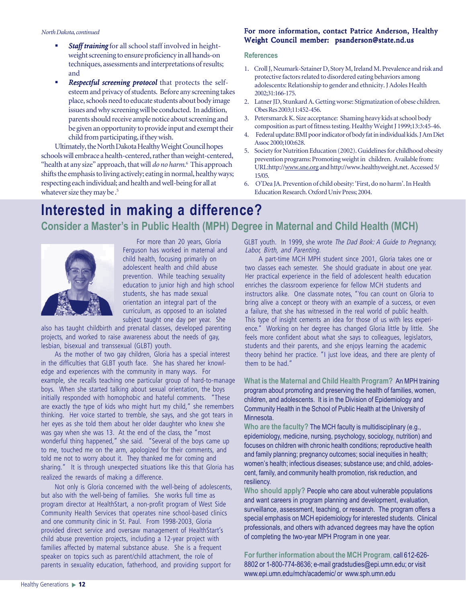#### *North Dakota, continued*

- **Staff training** for all school staff involved in heightweight screening to ensure proficiency in all hands-on techniques, assessments and interpretations of results; and
- **Respectful screening protocol** that protects the selfesteem and privacy of students. Before any screening takes place, schools need to educate students about body image issues and why screening will be conducted. In addition, parents should receive ample notice about screening and be given an opportunity to provide input and exempt their child from participating, if they wish.

Ultimately, the North Dakota Healthy Weight Council hopes schools will embrace a health-centered, rather than weight-centered, "health at any size" approach, that will *do no harm*. 6 This approach shifts the emphasis to living actively; eating in normal, healthy ways; respecting each individual; and health and well-being for all at whatever size they may be.<sup>5</sup>

#### For more information, contact Patrice Anderson, Healthy Weight Council member: psanderson@state.nd.us

#### **References**

- 1. Croll J, Neumark-Sztainer D, Story M, Ireland M. Prevalence and risk and protective factors related to disordered eating behaviors among adolescents: Relationship to gender and ethnicity. J Adoles Health 2002;31:166-175.
- 2. Latner JD, Stunkard A. Getting worse: Stigmatization of obese children. Obes Res 2003;11:452-456.
- 3. Petersmarck K. Size acceptance: Shaming heavy kids at school body composition as part of fitness testing. Healthy Weight J 1999;13:3:45-46.
- 4. Federal update: BMI poor indicator of body fat in individual kids. J Am Diet Assoc 2000;100:628.
- 5. Society for Nutrition Education (2002). Guidelines for childhood obesity prevention programs: Promoting weight in children. Available from: URL:http://www.sne.org and http://www.healthyweight.net. Accessed 5/ 15/05.
- 6. O'Dea JA. Prevention of child obesity: 'First, do no harm'. In Health Education Research*.* Oxford Univ Press; 2004.

## **Interested in making a difference? Consider a Master's in Public Health (MPH) Degree in Maternal and Child Health (MCH)**



Ferguson has worked in maternal and child health, focusing primarily on adolescent health and child abuse prevention. While teaching sexuality education to junior high and high school students, she has made sexual orientation an integral part of the curriculum, as opposed to an isolated subject taught one day per year. She

also has taught childbirth and prenatal classes, developed parenting projects, and worked to raise awareness about the needs of gay, lesbian, bisexual and transsexual (GLBT) youth.

As the mother of two gay children, Gloria has a special interest in the difficulties that GLBT youth face. She has shared her knowledge and experiences with the community in many ways. For example, she recalls teaching one particular group of hard-to-manage boys. When she started talking about sexual orientation, the boys initially responded with homophobic and hateful comments. "These are exactly the type of kids who might hurt my child," she remembers thinking. Her voice started to tremble, she says, and she got tears in her eyes as she told them about her older daughter who knew she was gay when she was 13. At the end of the class, the "most wonderful thing happened," she said. "Several of the boys came up to me, touched me on the arm, apologized for their comments, and told me not to worry about it. They thanked me for coming and sharing." It is through unexpected situations like this that Gloria has realized the rewards of making a difference.

Not only is Gloria concerned with the well-being of adolescents, but also with the well-being of families. She works full time as program director at HealthStart, a non-profit program of West Side Community Health Services that operates nine school-based clinics and one community clinic in St. Paul. From 1998-2003, Gloria provided direct service and oversaw management of HealthStart's child abuse prevention projects, including a 12-year project with families affected by maternal substance abuse. She is a frequent speaker on topics such as parent/child attachment, the role of parents in sexuality education, fatherhood, and providing support for

Labor, Birth, and Parenting. For more than 20 years, Gloria GLBT youth. In 1999, she wrote The Dad Book: A Guide to Pregnancy,

A part-time MCH MPH student since 2001, Gloria takes one or two classes each semester. She should graduate in about one year. Her practical experience in the field of adolescent health education enriches the classroom experience for fellow MCH students and instructors alike. One classmate notes, "You can count on Gloria to bring alive a concept or theory with an example of a success, or even a failure, that she has witnessed in the real world of public health. This type of insight cements an idea for those of us with less experience." Working on her degree has changed Gloria little by little. She feels more confident about what she says to colleagues, legislators, students and their parents, and she enjoys learning the academic theory behind her practice. "I just love ideas, and there are plenty of them to be had."

**What is the Maternal and Child Health Program?** An MPH training program about promoting and preserving the health of families, women, children, and adolescents. It is in the Division of Epidemiology and Community Health in the School of Public Health at the University of Minnesota.

**Who are the faculty?** The MCH faculty is multidisciplinary (e.g., epidemiology, medicine, nursing, psychology, sociology, nutrition) and focuses on children with chronic health conditions; reproductive health and family planning; pregnancy outcomes; social inequities in health; women's health; infectious diseases; substance use; and child, adolescent, family, and community health promotion, risk reduction, and resiliency.

**Who should apply?** People who care about vulnerable populations and want careers in program planning and development, evaluation, surveillance, assessment, teaching, or research. The program offers a special emphasis on MCH epidemiology for interested students. Clinical professionals, and others with advanced degrees may have the option of completing the two-year MPH Program in one year.

**For further information about the MCH Program**, call 612-626- 8802 or 1-800-774-8636; e-mail gradstudies@epi.umn.edu; or visit www.epi.umn.edu/mch/academic/ or www.sph.umn.edu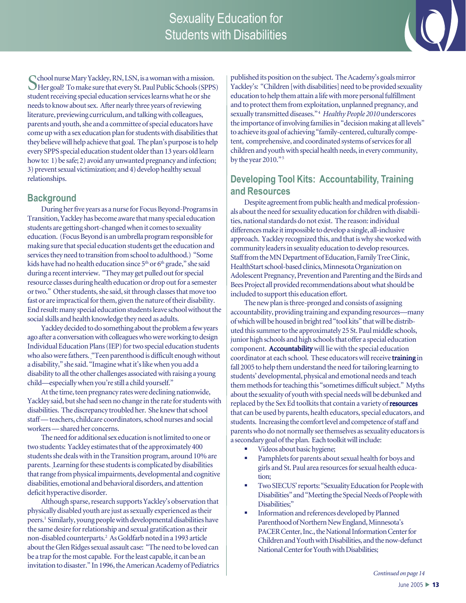## Sexuality Education for Students with Disabilities



School nurse Mary Yackley, RN, LSN, is a woman with a mission. Her goal? To make sure that every St. Paul Public Schools (SPPS) student receiving special education services learns what he or she needs to know about sex. After nearly three years of reviewing literature, previewing curriculum, and talking with colleagues, parents and youth, she and a committee of special educators have come up with a sex education plan for students with disabilities that they believe will help achieve that goal. The plan's purpose is to help every SPPS special education student older than 13 years old learn how to: 1) be safe; 2) avoid any unwanted pregnancy and infection; 3) prevent sexual victimization; and 4) develop healthy sexual relationships.

### **Background**

During her five years as a nurse for Focus Beyond-Programs in Transition, Yackley has become aware that many special education students are getting short-changed when it comes to sexuality education. (Focus Beyond is an umbrella program responsible for making sure that special education students get the education and services they need to transition from school to adulthood.) "Some kids have had no health education since 5<sup>th</sup> or 6<sup>th</sup> grade," she said during a recent interview. "They may get pulled out for special resource classes during health education or drop out for a semester or two." Other students, she said, sit through classes that move too fast or are impractical for them, given the nature of their disability. End result: many special education students leave school without the social skills and health knowledge they need as adults.

Yackley decided to do something about the problem a few years ago after a conversation with colleagues who were working to design Individual Education Plans (IEP) for two special education students who also were fathers. "Teen parenthood is difficult enough without a disability," she said. "Imagine what it's like when you add a disability to all the other challenges associated with raising a young child—especially when you're still a child yourself."

At the time, teen pregnancy rates were declining nationwide, Yackley said, but she had seen no change in the rate for students with disabilities. The discrepancy troubled her. She knew that school staff — teachers, childcare coordinators, school nurses and social workers — shared her concerns.

The need for additional sex education is not limited to one or two students: Yackley estimates that of the approximately 400 students she deals with in the Transition program, around 10% are parents. Learning for these students is complicated by disabilities that range from physical impairments, developmental and cognitive disabilities, emotional and behavioral disorders, and attention deficit hyperactive disorder.

Although sparse, research supports Yackley's observation that physically disabled youth are just as sexually experienced as their peers.1 Similarly, young people with developmental disabilities have the same desire for relationship and sexual gratification as their non-disabled counterparts.2 As Goldfarb noted in a 1993 article about the Glen Ridges sexual assault case: "The need to be loved can be a trap for the most capable. For the least capable, it can be an invitation to disaster." In 1996, the American Academy of Pediatrics published its position on the subject. The Academy's goals mirror Yackley's: "Children [with disabilities] need to be provided sexuality education to help them attain a life with more personal fulfillment and to protect them from exploitation, unplanned pregnancy, and sexually transmitted diseases." 4 *Healthy People 2010* underscores the importance of involving families in "decision making at all levels" to achieve its goal of achieving "family-centered, culturally competent, comprehensive, and coordinated systems of services for all children and youth with special health needs, in every community, by the year 2010."<sup>5</sup>

## **Developing Tool Kits: Accountability, Training and Resources**

Despite agreement from public health and medical professionals about the need for sexuality education for children with disabilities, national standards do not exist. The reason: individual differences make it impossible to develop a single, all-inclusive approach. Yackley recognized this, and that is why she worked with community leaders in sexuality education to develop resources. Staff from the MN Department of Education, Family Tree Clinic, HealthStart school-based clinics, Minnesota Organization on Adolescent Pregnancy, Prevention and Parenting and the Birds and Bees Project all provided recommendations about what should be included to support this education effort.

The new plan is three-pronged and consists of assigning accountability, providing training and expanding resources—many of which will be housed in bright red "tool kits" that will be distributed this summer to the approximately 25 St. Paul middle schools, junior high schools and high schools that offer a special education component. Accountability will lie with the special education coordinator at each school. These educators will receive training in fall 2005 to help them understand the need for tailoring learning to students' developmental, physical and emotional needs and teach them methods for teaching this "sometimes difficult subject." Myths about the sexuality of youth with special needs will be debunked and replaced by the Sex Ed toolkits that contain a variety of resources that can be used by parents, health educators, special educators, and students. Increasing the comfort level and competence of staff and parents who do not normally see themselves as sexuality educators is a secondary goal of the plan. Each toolkit will include:

- Videos about basic hygiene;
- Pamphlets for parents about sexual health for boys and girls and St. Paul area resources for sexual health education;
- Two SIECUS' reports: "Sexuality Education for People with Disabilities" and "Meeting the Special Needs of People with Disabilities;"
- Information and references developed by Planned Parenthood of Northern New England, Minnesota's PACER Center, Inc., the National Information Center for Children and Youth with Disabilities, and the now-defunct National Center for Youth with Disabilities;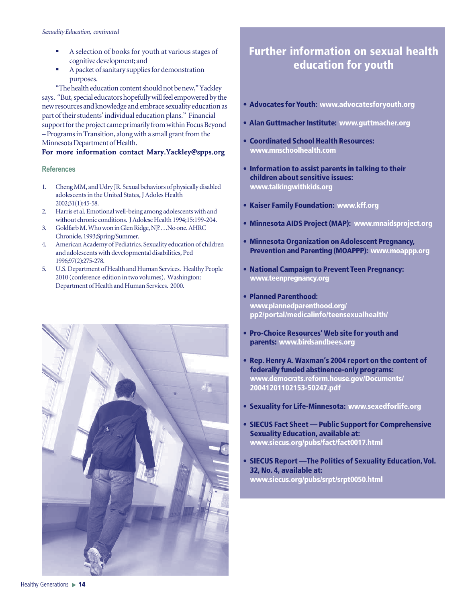- A selection of books for youth at various stages of cognitive development; and
- A packet of sanitary supplies for demonstration purposes.

"The health education content should not be new," Yackley says. "But, special educators hopefully will feel empowered by the new resources and knowledge and embrace sexuality education as part of their students' individual education plans." Financial support for the project came primarily from within Focus Beyond – Programs in Transition, along with a small grant from the Minnesota Department of Health.

#### For more information contact Mary.Yackley@spps.org

#### **References**

- 1. Cheng MM, and Udry JR. Sexual behaviors of physically disabled adolescents in the United States, J Adoles Health 2002;31(1):45-58.
- 2. Harris et al. Emotional well-being among adolescents with and without chronic conditions. J Adolesc Health 1994;15:199-204.
- 3. Goldfarb M. Who won in Glen Ridge, NJ? . . .No one. AHRC Chronicle, 1993;Spring/Summer.
- 4. American Academy of Pediatrics. Sexuality education of children and adolescents with developmental disabilities, Ped 1996;97(2):275-278.
- 5. U.S. Department of Health and Human Services. Healthy People 2010 (conference edition in two volumes). Washington: Department of Health and Human Services. 2000.



## **Further information on sexual health education for youth**

- **Advocates for Youth: www.advocatesforyouth.org**
- **Alan Guttmacher Institute: www.guttmacher.org**
- **Coordinated School Health Resources: www.mnschoolhealth.com**
- **Information to assist parents in talking to their children about sensitive issues: www.talkingwithkids.org**
- **Kaiser Family Foundation: www.kff.org**
- **Minnesota AIDS Project (MAP): www.mnaidsproject.org**
- **Minnesota Organization on Adolescent Pregnancy, Prevention and Parenting (MOAPPP): www.moappp.org**
- **National Campaign to Prevent Teen Pregnancy: www.teenpregnancy.org**
- **Planned Parenthood: www.plannedparenthood.org/ pp2/portal/medicalinfo/teensexualhealth/**
- **Pro-Choice Resources' Web site for youth and parents: www.birdsandbees.org**
- **Rep. Henry A. Waxman's 2004 report on the content of federally funded abstinence-only programs: www.democrats.reform.house.gov/Documents/ 20041201102153-50247.pdf**
- **Sexuality for Life-Minnesota: www.sexedforlife.org**
- **SIECUS Fact Sheet Public Support for Comprehensive Sexuality Education, available at: www.siecus.org/pubs/fact/fact0017.html**
- **SIECUS Report —The Politics of Sexuality Education, Vol. 32, No. 4, available at: www.siecus.org/pubs/srpt/srpt0050.html**

Healthy Generations **14**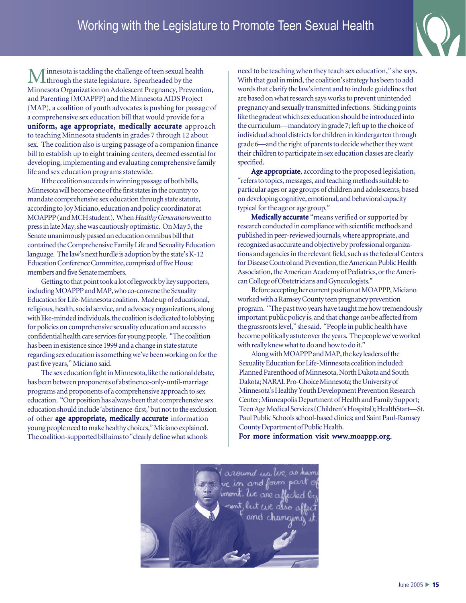## Working with the Legislature to Promote Teen Sexual Health



innesota is tackling the challenge of teen sexual health  $\blacksquare$  through the state legislature. Spearheaded by the Minnesota Organization on Adolescent Pregnancy, Prevention, and Parenting (MOAPPP) and the Minnesota AIDS Project (MAP), a coalition of youth advocates is pushing for passage of a comprehensive sex education bill that would provide for a uniform, age appropriate, medically accurate approach to teaching Minnesota students in grades 7 through 12 about sex. The coalition also is urging passage of a companion finance bill to establish up to eight training centers, deemed essential for developing, implementing and evaluating comprehensive family life and sex education programs statewide.

If the coalition succeeds in winning passage of both bills, Minnesota will become one of the first states in the country to mandate comprehensive sex education through state statute, according to Joy Miciano, education and policy coordinator at MOAPPP (and MCH student). When *Healthy Generations* went to press in late May, she was cautiously optimistic. On May 5, the Senate unanimously passed an education omnibus bill that contained the Comprehensive Family Life and Sexuality Education language. The law's next hurdle is adoption by the state's K-12 Education Conference Committee, comprised of five House members and five Senate members.

Getting to that point took a lot of legwork by key supporters, including MOAPPP and MAP, who co-convene the Sexuality Education for Life-Minnesota coalition. Made up of educational, religious, health, social service, and advocacy organizations, along with like-minded individuals, the coalition is dedicated to lobbying for policies on comprehensive sexuality education and access to confidential health care services for young people. "The coalition has been in existence since 1999 and a change in state statute regarding sex education is something we've been working on for the past five years," Miciano said.

The sex education fight in Minnesota, like the national debate, has been between proponents of abstinence-only-until-marriage programs and proponents of a comprehensive approach to sex education. "Our position has always been that comprehensive sex education should include 'abstinence-first,' but not to the exclusion of other age appropriate, medically accurate information young people need to make healthy choices," Miciano explained. The coalition-supported bill aims to "clearly define what schools

need to be teaching when they teach sex education," she says. With that goal in mind, the coalition's strategy has been to add words that clarify the law's intent and to include guidelines that are based on what research says works to prevent unintended pregnancy and sexually transmitted infections. Sticking points like the grade at which sex education should be introduced into the curriculum—mandatory in grade 7; left up to the choice of individual school districts for children in kindergarten through grade 6—and the right of parents to decide whether they want their children to participate in sex education classes are clearly specified.

Age appropriate, according to the proposed legislation, "refers to topics, messages, and teaching methods suitable to particular ages or age groups of children and adolescents, based on developing cognitive, emotional, and behavioral capacity typical for the age or age group."

Medically accurate "means verified or supported by research conducted in compliance with scientific methods and published in peer-reviewed journals, where appropriate, and recognized as accurate and objective by professional organizations and agencies in the relevant field, such as the federal Centers for Disease Control and Prevention, the American Public Health Association, the American Academy of Pediatrics, or the American College of Obstetricians and Gynecologists."

Before accepting her current position at MOAPPP, Miciano worked with a Ramsey County teen pregnancy prevention program. "The past two years have taught me how tremendously important public policy is, and that change *can* be affected from the grassroots level," she said. "People in public health have become politically astute over the years. The people we've worked with really knew what to do and how to do it."

Along with MOAPPP and MAP, the key leaders of the Sexuality Education for Life-Minnesota coalition included: Planned Parenthood of Minnesota, North Dakota and South Dakota; NARAL Pro-Choice Minnesota; the University of Minnesota's Healthy Youth Development Prevention Research Center; Minneapolis Department of Health and Family Support; Teen Age Medical Services (Children's Hospital); HealthStart—St. Paul Public Schools school-based clinics; and Saint Paul-Ramsey County Department of Public Health.

For more information visit www.moappp.org.